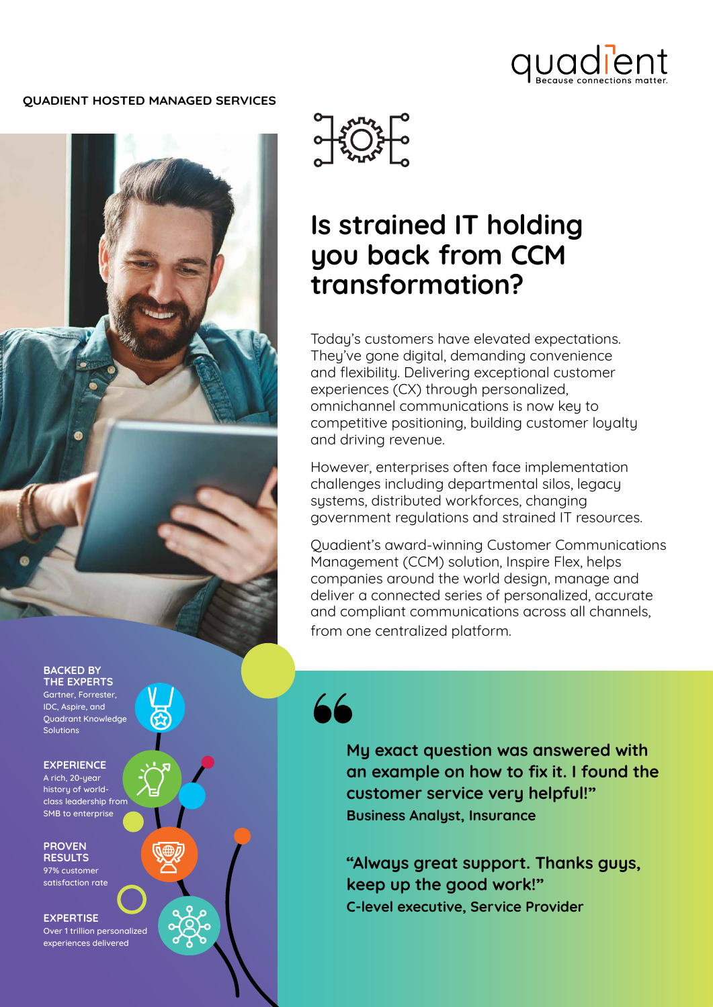

## **QUADIENT HOSTED MANAGED SERVICES**





# **Is strained IT holding you back from CCM transformation?**

Today's customers have elevated expectations. They've gone digital, demanding convenience and flexibility. Delivering exceptional customer experiences (CX) through personalized, omnichannel communications is now key to competitive positioning, building customer loyalty and driving revenue.

However, enterprises often face implementation challenges including departmental silos, legacy systems, distributed workforces, changing government regulations and strained IT resources.

Quadient's award-winning Customer Communications Management (CCM) solution, Inspire Flex, helps companies around the world design, manage and deliver a connected series of personalized, accurate and compliant communications across all channels, from one centralized platform.

66

**My exact question was answered with an example on how to fix it. I found the customer service very helpful!" Business Analyst, Insurance**

**"Always great support. Thanks guys, keep up the good work!" C-level executive, Service Provider**

**BACKED BY THE EXPERTS** Gartner, Forrester, IDC, Aspire, and

Quadrant Knowledge Solutions

**EXPERIENCE**

A rich, 20-year history of worldclass leadership from SMB to enterprise

**PROVEN RESULTS**

97% customer satisfaction rate

**EXPERTISE**

Over 1 trillion personalized experiences delivered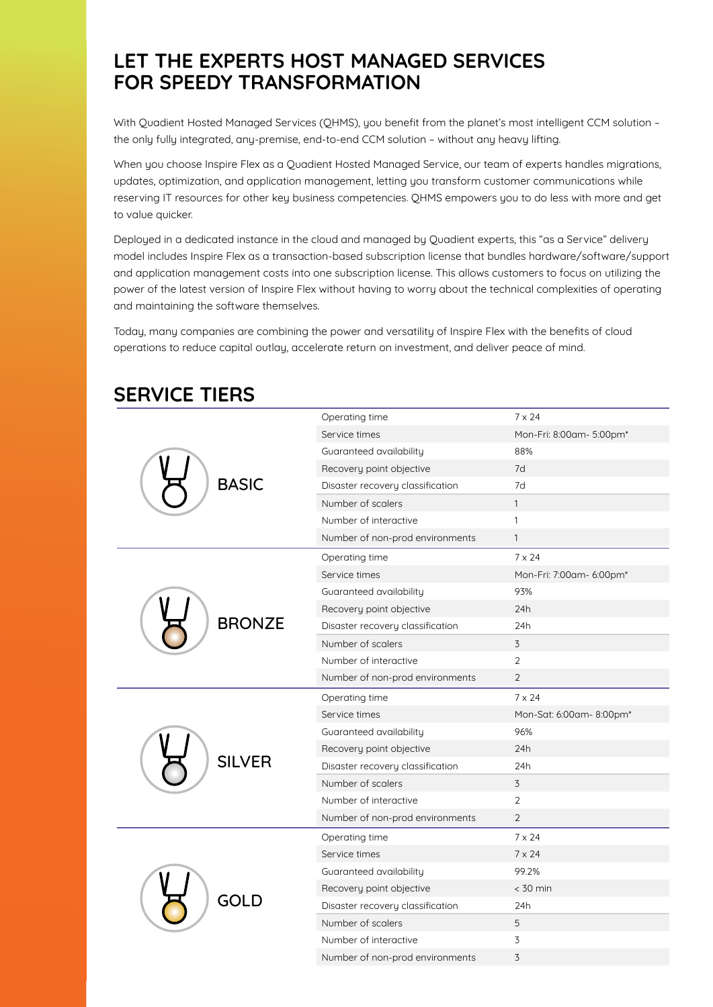# **LET THE EXPERTS HOST MANAGED SERVICES FOR SPEEDY TRANSFORMATION**

With Quadient Hosted Managed Services (QHMS), you benefit from the planet's most intelligent CCM solution – the only fully integrated, any-premise, end-to-end CCM solution – without any heavy lifting.

When you choose Inspire Flex as a Quadient Hosted Managed Service, our team of experts handles migrations, updates, optimization, and application management, letting you transform customer communications while reserving IT resources for other key business competencies. QHMS empowers you to do less with more and get to value quicker.

Deployed in a dedicated instance in the cloud and managed by Quadient experts, this "as a Service" delivery model includes Inspire Flex as a transaction-based subscription license that bundles hardware/software/support and application management costs into one subscription license. This allows customers to focus on utilizing the power of the latest version of Inspire Flex without having to worry about the technical complexities of operating and maintaining the software themselves.

Today, many companies are combining the power and versatility of Inspire Flex with the benefits of cloud operations to reduce capital outlay, accelerate return on investment, and deliver peace of mind.

| <b>BASIC</b>  | Operating time                   | $7 \times 24$            |
|---------------|----------------------------------|--------------------------|
|               | Service times                    | Mon-Fri: 8:00am- 5:00pm* |
|               | Guaranteed availability          | 88%                      |
|               | Recovery point objective         | 7d                       |
|               | Disaster recovery classification | 7d                       |
|               | Number of scalers                | $\mathbf{1}$             |
|               | Number of interactive            | $\mathbf{1}$             |
|               | Number of non-prod environments  | $\mathbf{1}$             |
| <b>BRONZE</b> | Operating time                   | $7 \times 24$            |
|               | Service times                    | Mon-Fri: 7:00am- 6:00pm* |
|               | Guaranteed availability          | 93%                      |
|               | Recovery point objective         | 24h                      |
|               | Disaster recovery classification | 24h                      |
|               | Number of scalers                | 3                        |
|               | Number of interactive            | 2                        |
|               | Number of non-prod environments  | $\overline{2}$           |
|               |                                  |                          |
|               | Operating time                   | $7 \times 24$            |
|               | Service times                    | Mon-Sat: 6:00am- 8:00pm* |
|               | Guaranteed availability          | 96%                      |
|               | Recovery point objective         | 24h                      |
| <b>SILVER</b> | Disaster recovery classification | 24h                      |
|               | Number of scalers                | 3                        |
|               | Number of interactive            | $\overline{2}$           |
|               | Number of non-prod environments  | $\overline{2}$           |
|               | Operating time                   | $7 \times 24$            |
|               | Service times                    | $7 \times 24$            |
|               | Guaranteed availability          | 99.2%                    |
|               | Recovery point objective         | $<$ 30 min               |
| <b>GOLD</b>   | Disaster recovery classification | 24h                      |
|               | Number of scalers                | 5                        |
|               | Number of interactive            | 3                        |

# **SERVICE TIERS**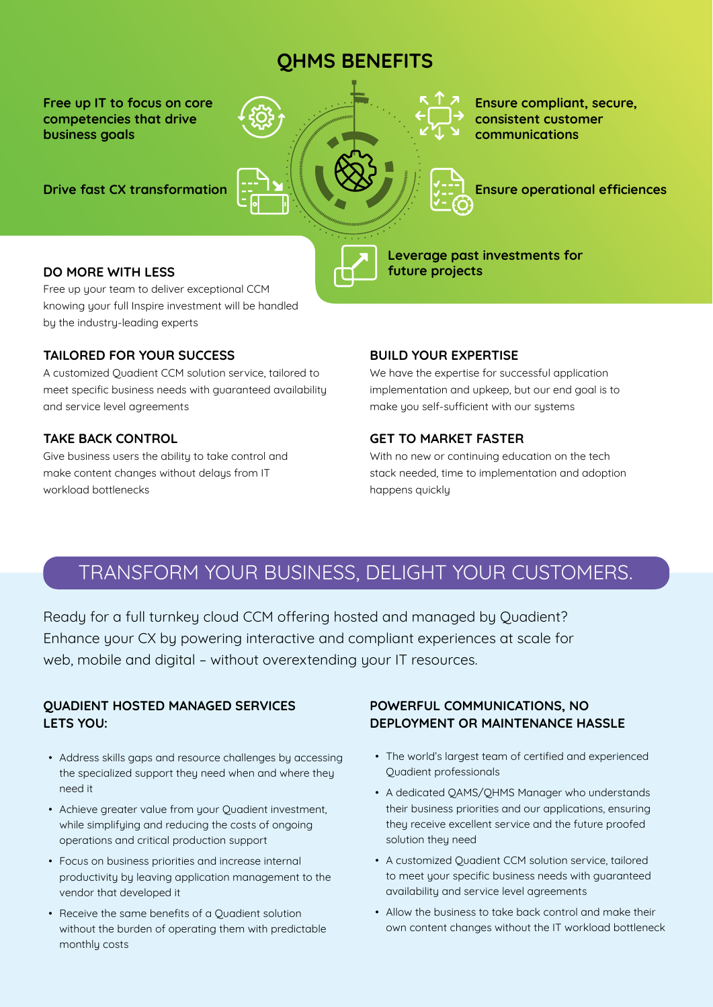# **QHMS BENEFITS**

**Free up IT to focus on core competencies that drive business goals** 

**Drive fast CX transformation** 



**Ensure compliant, secure, consistent customer communications**

**Ensure operational efficiences** 

**Leverage past investments for future projects** 

## **DO MORE WITH LESS**

Free up your team to deliver exceptional CCM knowing your full Inspire investment will be handled by the industry-leading experts

## **TAILORED FOR YOUR SUCCESS**

A customized Quadient CCM solution service, tailored to meet specific business needs with guaranteed availability and service level agreements

## **TAKE BACK CONTROL**

Give business users the ability to take control and make content changes without delays from IT workload bottlenecks

#### **BUILD YOUR EXPERTISE**

We have the expertise for successful application implementation and upkeep, but our end goal is to make you self-sufficient with our systems

## **GET TO MARKET FASTER**

With no new or continuing education on the tech stack needed, time to implementation and adoption happens quickly

# TRANSFORM YOUR BUSINESS, DELIGHT YOUR CUSTOMERS.

Ready for a full turnkey cloud CCM offering hosted and managed by Quadient? Enhance your CX by powering interactive and compliant experiences at scale for web, mobile and digital – without overextending your IT resources.

# **QUADIENT HOSTED MANAGED SERVICES LETS YOU:**

- Address skills gaps and resource challenges by accessing the specialized support they need when and where they need it
- Achieve greater value from your Quadient investment, while simplifying and reducing the costs of ongoing operations and critical production support
- Focus on business priorities and increase internal productivity by leaving application management to the vendor that developed it
- Receive the same benefits of a Quadient solution without the burden of operating them with predictable monthly costs

# **POWERFUL COMMUNICATIONS, NO DEPLOYMENT OR MAINTENANCE HASSLE**

- The world's largest team of certified and experienced Quadient professionals
- A dedicated QAMS/QHMS Manager who understands their business priorities and our applications, ensuring they receive excellent service and the future proofed solution they need
- A customized Quadient CCM solution service, tailored to meet your specific business needs with guaranteed availability and service level agreements
- Allow the business to take back control and make their own content changes without the IT workload bottleneck